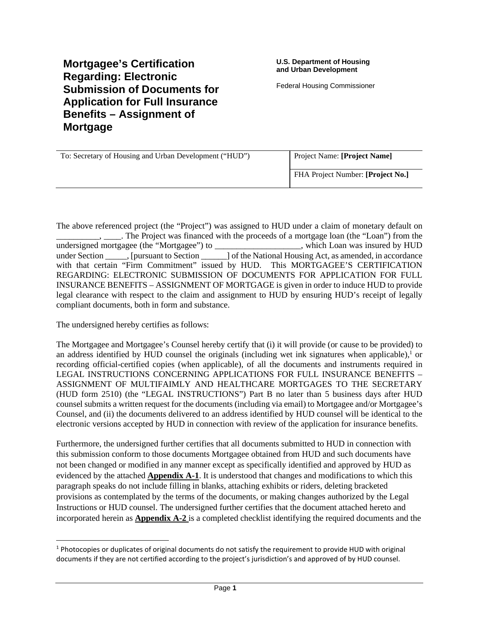# **Mortgagee's Certification Regarding: Electronic Submission of Documents for Application for Full Insurance Benefits – Assignment of Mortgage**

Federal Housing Commissioner

| To: Secretary of Housing and Urban Development ("HUD") | Project Name: [Project Name]      |
|--------------------------------------------------------|-----------------------------------|
|                                                        | FHA Project Number: [Project No.] |

The above referenced project (the "Project") was assigned to HUD under a claim of monetary default on \_\_\_\_\_\_\_\_\_\_, \_\_\_\_. The Project was financed with the proceeds of a mortgage loan (the "Loan") from the undersigned mortgagee (the "Mortgagee") to which Loan was insured by HUD under Section . [pursuant to Section ] of the National Housing Act, as amended, in accordance with that certain "Firm Commitment" issued by HUD. This MORTGAGEE'S CERTIFICATION REGARDING: ELECTRONIC SUBMISSION OF DOCUMENTS FOR APPLICATION FOR FULL INSURANCE BENEFITS – ASSIGNMENT OF MORTGAGE is given in order to induce HUD to provide legal clearance with respect to the claim and assignment to HUD by ensuring HUD's receipt of legally compliant documents, both in form and substance.

The undersigned hereby certifies as follows:

The Mortgagee and Mortgagee's Counsel hereby certify that (i) it will provide (or cause to be provided) to an address identified by HUD counsel the originals (including wet ink signatures when applicable), $1$  or recording official-certified copies (when applicable), of all the documents and instruments required in LEGAL INSTRUCTIONS CONCERNING APPLICATIONS FOR FULL INSURANCE BENEFITS – ASSIGNMENT OF MULTIFAIMLY AND HEALTHCARE MORTGAGES TO THE SECRETARY (HUD form 2510) (the "LEGAL INSTRUCTIONS") Part B no later than 5 business days after HUD counsel submits a written request for the documents (including via email) to Mortgagee and/or Mortgagee's Counsel, and (ii) the documents delivered to an address identified by HUD counsel will be identical to the electronic versions accepted by HUD in connection with review of the application for insurance benefits.

Furthermore, the undersigned further certifies that all documents submitted to HUD in connection with this submission conform to those documents Mortgagee obtained from HUD and such documents have not been changed or modified in any manner except as specifically identified and approved by HUD as evidenced by the attached **Appendix A-1**. It is understood that changes and modifications to which this paragraph speaks do not include filling in blanks, attaching exhibits or riders, deleting bracketed provisions as contemplated by the terms of the documents, or making changes authorized by the Legal Instructions or HUD counsel. The undersigned further certifies that the document attached hereto and incorporated herein as **Appendix A-2** is a completed checklist identifying the required documents and the

<sup>&</sup>lt;sup>1</sup> Photocopies or duplicates of original documents do not satisfy the requirement to provide HUD with original documents if they are not certified according to the project's jurisdiction's and approved of by HUD counsel.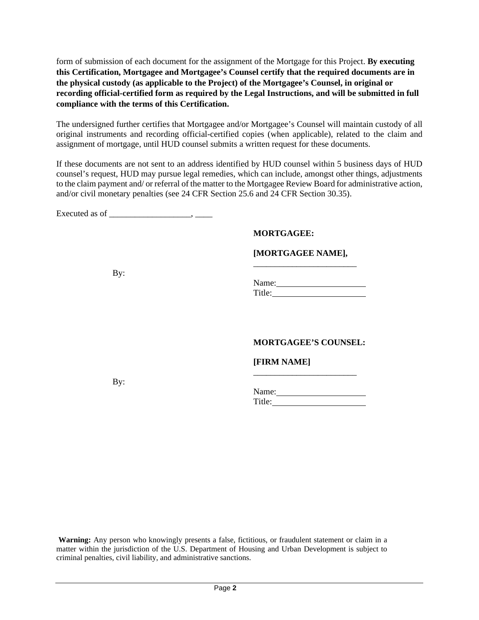form of submission of each document for the assignment of the Mortgage for this Project. **By executing this Certification, Mortgagee and Mortgagee's Counsel certify that the required documents are in the physical custody (as applicable to the Project) of the Mortgagee's Counsel, in original or recording official-certified form as required by the Legal Instructions, and will be submitted in full compliance with the terms of this Certification.**

The undersigned further certifies that Mortgagee and/or Mortgagee's Counsel will maintain custody of all original instruments and recording official-certified copies (when applicable), related to the claim and assignment of mortgage, until HUD counsel submits a written request for these documents.

If these documents are not sent to an address identified by HUD counsel within 5 business days of HUD counsel's request, HUD may pursue legal remedies, which can include, amongst other things, adjustments to the claim payment and/ or referral of the matter to the Mortgagee Review Board for administrative action, and/or civil monetary penalties (see 24 CFR Section 25.6 and 24 CFR Section 30.35).

Executed as of  $\qquad \qquad$ 

### **MORTGAGEE:**

#### **[MORTGAGEE NAME],**  \_\_\_\_\_\_\_\_\_\_\_\_\_\_\_\_\_\_\_\_\_\_\_\_

By:

Name: 2008. [2010] Title:

### **MORTGAGEE'S COUNSEL:**

**[FIRM NAME]** 

By:

Name: Title: The Contract of the Contract of the Contract of the Contract of the Contract of the Contract of the Contract of the Contract of the Contract of the Contract of the Contract of the Contract of the Contract of the Con

\_\_\_\_\_\_\_\_\_\_\_\_\_\_\_\_\_\_\_\_\_\_\_\_

**Warning:** Any person who knowingly presents a false, fictitious, or fraudulent statement or claim in a matter within the jurisdiction of the U.S. Department of Housing and Urban Development is subject to criminal penalties, civil liability, and administrative sanctions.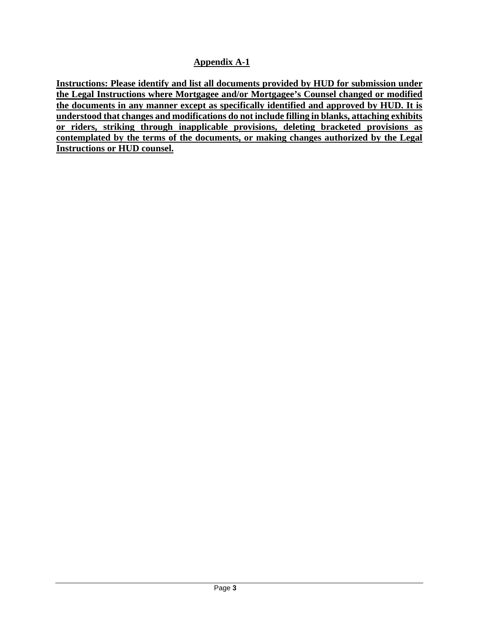### **Appendix A-1**

**Instructions: Please identify and list all documents provided by HUD for submission under the Legal Instructions where Mortgagee and/or Mortgagee's Counsel changed or modified the documents in any manner except as specifically identified and approved by HUD. It is understood that changes and modifications do not include filling in blanks, attaching exhibits or riders, striking through inapplicable provisions, deleting bracketed provisions as contemplated by the terms of the documents, or making changes authorized by the Legal Instructions or HUD counsel.**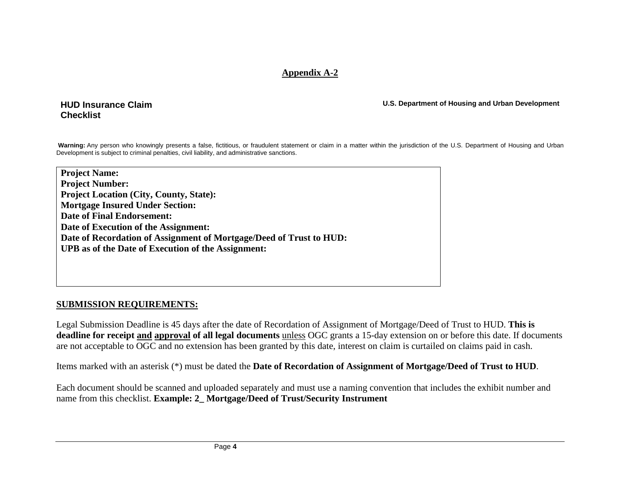### **Appendix A-2**

#### **HUD Insurance Claim Checklist**

**U.S. Department of Housing and Urban Development** 

Warning: Any person who knowingly presents a false, fictitious, or fraudulent statement or claim in a matter within the jurisdiction of the U.S. Department of Housing and Urban Development is subject to criminal penalties, civil liability, and administrative sanctions.

**Project Name: Project Number: Project Location (City, County, State): Mortgage Insured Under Section: Date of Final Endorsement: Date of Execution of the Assignment: Date of Recordation of Assignment of Mortgage/Deed of Trust to HUD: UPB as of the Date of Execution of the Assignment:** 

### **SUBMISSION REQUIREMENTS:**

Legal Submission Deadline is 45 days after the date of Recordation of Assignment of Mortgage/Deed of Trust to HUD. **This is deadline for receipt and approval of all legal documents** unless OGC grants a 15-day extension on or before this date. If documents are not acceptable to OGC and no extension has been granted by this date, interest on claim is curtailed on claims paid in cash.

Items marked with an asterisk (\*) must be dated the **Date of Recordation of Assignment of Mortgage/Deed of Trust to HUD**.

Each document should be scanned and uploaded separately and must use a naming convention that includes the exhibit number and name from this checklist. **Example: 2\_ Mortgage/Deed of Trust/Security Instrument**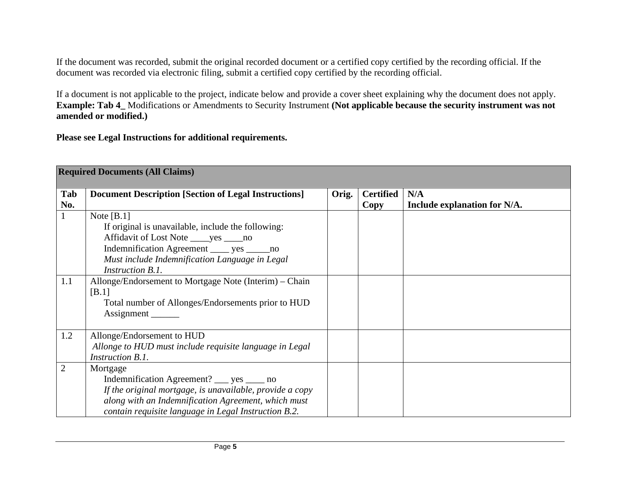If the document was recorded, submit the original recorded document or a certified copy certified by the recording official. If the document was recorded via electronic filing, submit a certified copy certified by the recording official.

If a document is not applicable to the project, indicate below and provide a cover sheet explaining why the document does not apply. **Example: Tab 4\_** Modifications or Amendments to Security Instrument **(Not applicable because the security instrument was not amended or modified.)** 

**Please see Legal Instructions for additional requirements.** 

|                | <b>Required Documents (All Claims)</b>                      |       |                  |                              |  |
|----------------|-------------------------------------------------------------|-------|------------------|------------------------------|--|
|                |                                                             |       |                  |                              |  |
| Tab            | <b>Document Description [Section of Legal Instructions]</b> | Orig. | <b>Certified</b> | N/A                          |  |
| No.            |                                                             |       | Copy             | Include explanation for N/A. |  |
|                | Note $[B.1]$                                                |       |                  |                              |  |
|                | If original is unavailable, include the following:          |       |                  |                              |  |
|                | Affidavit of Lost Note _____ yes _____ no                   |       |                  |                              |  |
|                | Indemnification Agreement _____ yes ______no                |       |                  |                              |  |
|                | Must include Indemnification Language in Legal              |       |                  |                              |  |
|                | Instruction B.1.                                            |       |                  |                              |  |
| 1.1            | Allonge/Endorsement to Mortgage Note (Interim) – Chain      |       |                  |                              |  |
|                | [B.1]                                                       |       |                  |                              |  |
|                | Total number of Allonges/Endorsements prior to HUD          |       |                  |                              |  |
|                | Assignment                                                  |       |                  |                              |  |
|                |                                                             |       |                  |                              |  |
| 1.2            | Allonge/Endorsement to HUD                                  |       |                  |                              |  |
|                | Allonge to HUD must include requisite language in Legal     |       |                  |                              |  |
|                | <b>Instruction B.1.</b>                                     |       |                  |                              |  |
| $\overline{2}$ | Mortgage                                                    |       |                  |                              |  |
|                | Indemnification Agreement? ___ yes _____ no                 |       |                  |                              |  |
|                | If the original mortgage, is unavailable, provide a copy    |       |                  |                              |  |
|                | along with an Indemnification Agreement, which must         |       |                  |                              |  |
|                | contain requisite language in Legal Instruction B.2.        |       |                  |                              |  |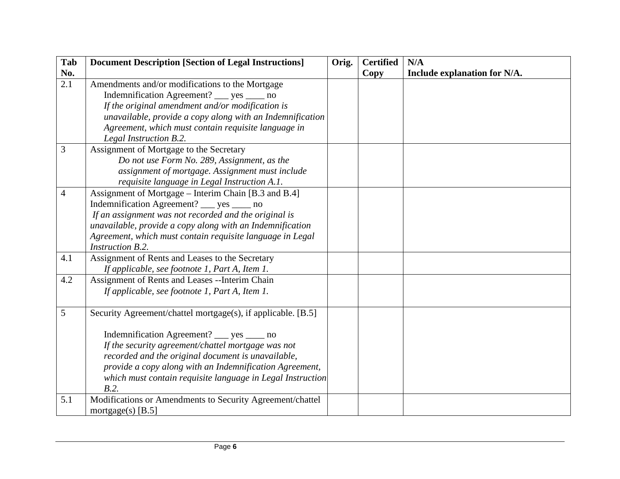| Tab              | <b>Document Description [Section of Legal Instructions]</b>  | Orig. | <b>Certified</b> | N/A                          |
|------------------|--------------------------------------------------------------|-------|------------------|------------------------------|
| No.              |                                                              |       | <b>Copy</b>      | Include explanation for N/A. |
| $\overline{2.1}$ | Amendments and/or modifications to the Mortgage              |       |                  |                              |
|                  | Indemnification Agreement? ___ yes ____ no                   |       |                  |                              |
|                  | If the original amendment and/or modification is             |       |                  |                              |
|                  | unavailable, provide a copy along with an Indemnification    |       |                  |                              |
|                  | Agreement, which must contain requisite language in          |       |                  |                              |
|                  | Legal Instruction B.2.                                       |       |                  |                              |
| 3                | Assignment of Mortgage to the Secretary                      |       |                  |                              |
|                  | Do not use Form No. 289, Assignment, as the                  |       |                  |                              |
|                  | assignment of mortgage. Assignment must include              |       |                  |                              |
|                  | requisite language in Legal Instruction A.1.                 |       |                  |                              |
| $\overline{4}$   | Assignment of Mortgage – Interim Chain [B.3 and B.4]         |       |                  |                              |
|                  | Indemnification Agreement? __ yes ___ no                     |       |                  |                              |
|                  | If an assignment was not recorded and the original is        |       |                  |                              |
|                  | unavailable, provide a copy along with an Indemnification    |       |                  |                              |
|                  | Agreement, which must contain requisite language in Legal    |       |                  |                              |
|                  | Instruction B.2.                                             |       |                  |                              |
| 4.1              | Assignment of Rents and Leases to the Secretary              |       |                  |                              |
|                  | If applicable, see footnote 1, Part A, Item 1.               |       |                  |                              |
| 4.2              | Assignment of Rents and Leases --Interim Chain               |       |                  |                              |
|                  | If applicable, see footnote 1, Part A, Item 1.               |       |                  |                              |
| 5                | Security Agreement/chattel mortgage(s), if applicable. [B.5] |       |                  |                              |
|                  | Indemnification Agreement? __ yes ____ no                    |       |                  |                              |
|                  | If the security agreement/chattel mortgage was not           |       |                  |                              |
|                  | recorded and the original document is unavailable,           |       |                  |                              |
|                  | provide a copy along with an Indemnification Agreement,      |       |                  |                              |
|                  | which must contain requisite language in Legal Instruction   |       |                  |                              |
|                  | B.2.                                                         |       |                  |                              |
| 5.1              | Modifications or Amendments to Security Agreement/chattel    |       |                  |                              |
|                  | mortgage(s) $[B.5]$                                          |       |                  |                              |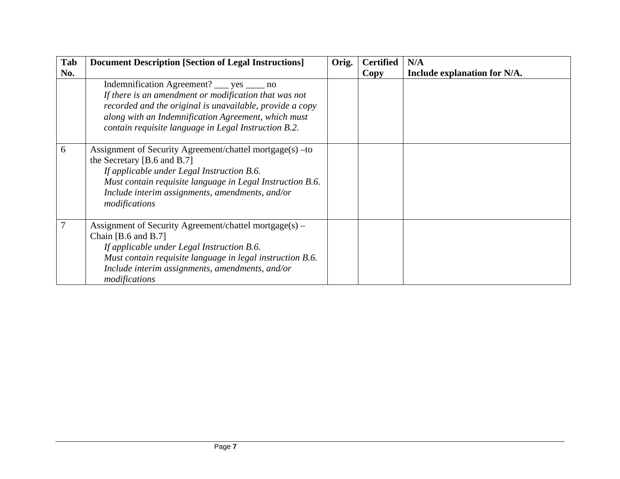| Tab<br>No. | <b>Document Description [Section of Legal Instructions]</b>                                                                                                                                                                                                                    | Orig. | <b>Certified</b><br>Copy | N/A<br>Include explanation for N/A. |
|------------|--------------------------------------------------------------------------------------------------------------------------------------------------------------------------------------------------------------------------------------------------------------------------------|-------|--------------------------|-------------------------------------|
|            | Indemnification Agreement? ___ yes ____ no<br>If there is an amendment or modification that was not<br>recorded and the original is unavailable, provide a copy<br>along with an Indemnification Agreement, which must<br>contain requisite language in Legal Instruction B.2. |       |                          |                                     |
| 6          | Assignment of Security Agreement/chattel mortgage(s) – to<br>the Secretary [B.6 and B.7]<br>If applicable under Legal Instruction B.6.<br>Must contain requisite language in Legal Instruction B.6.<br>Include interim assignments, amendments, and/or<br>modifications        |       |                          |                                     |
|            | Assignment of Security Agreement/chattel mortgage(s) –<br>Chain $[B.6 \text{ and } B.7]$<br>If applicable under Legal Instruction B.6.<br>Must contain requisite language in legal instruction B.6.<br>Include interim assignments, amendments, and/or<br>modifications        |       |                          |                                     |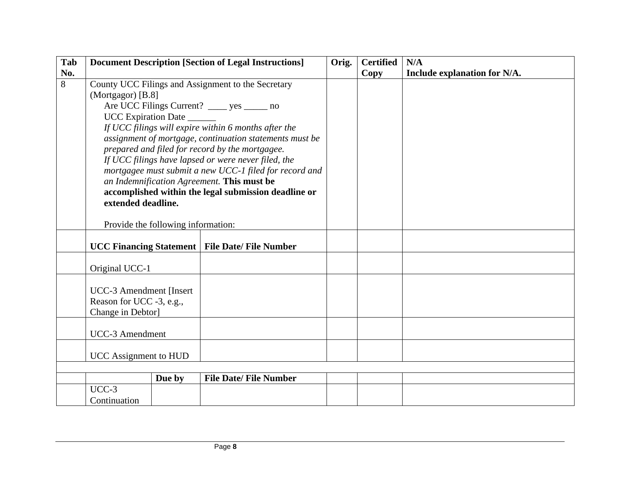| Tab            |                                                                                                                                                                                                                                                                                                                                                                                                                                                                                                                                                                   |                                    | <b>Document Description [Section of Legal Instructions]</b> | Orig. | <b>Certified</b> | N/A                          |
|----------------|-------------------------------------------------------------------------------------------------------------------------------------------------------------------------------------------------------------------------------------------------------------------------------------------------------------------------------------------------------------------------------------------------------------------------------------------------------------------------------------------------------------------------------------------------------------------|------------------------------------|-------------------------------------------------------------|-------|------------------|------------------------------|
| No.            |                                                                                                                                                                                                                                                                                                                                                                                                                                                                                                                                                                   |                                    |                                                             |       | <b>Copy</b>      | Include explanation for N/A. |
| $\overline{8}$ | County UCC Filings and Assignment to the Secretary<br>(Mortgagor) [B.8]<br>Are UCC Filings Current? _____ yes ______ no<br>UCC Expiration Date<br>If UCC filings will expire within 6 months after the<br>assignment of mortgage, continuation statements must be<br>prepared and filed for record by the mortgagee.<br>If UCC filings have lapsed or were never filed, the<br>mortgagee must submit a new UCC-1 filed for record and<br>an Indemnification Agreement. This must be<br>accomplished within the legal submission deadline or<br>extended deadline. |                                    |                                                             |       |                  |                              |
|                |                                                                                                                                                                                                                                                                                                                                                                                                                                                                                                                                                                   | Provide the following information: |                                                             |       |                  |                              |
|                |                                                                                                                                                                                                                                                                                                                                                                                                                                                                                                                                                                   |                                    | <b>UCC Financing Statement   File Date/ File Number</b>     |       |                  |                              |
|                | Original UCC-1                                                                                                                                                                                                                                                                                                                                                                                                                                                                                                                                                    |                                    |                                                             |       |                  |                              |
|                | <b>UCC-3 Amendment [Insert</b><br>Reason for UCC -3, e.g.,<br>Change in Debtor]                                                                                                                                                                                                                                                                                                                                                                                                                                                                                   |                                    |                                                             |       |                  |                              |
|                | <b>UCC-3</b> Amendment                                                                                                                                                                                                                                                                                                                                                                                                                                                                                                                                            |                                    |                                                             |       |                  |                              |
|                | <b>UCC</b> Assignment to HUD                                                                                                                                                                                                                                                                                                                                                                                                                                                                                                                                      |                                    |                                                             |       |                  |                              |
|                |                                                                                                                                                                                                                                                                                                                                                                                                                                                                                                                                                                   |                                    |                                                             |       |                  |                              |
|                |                                                                                                                                                                                                                                                                                                                                                                                                                                                                                                                                                                   | Due by                             | <b>File Date/ File Number</b>                               |       |                  |                              |
|                | $UCC-3$<br>Continuation                                                                                                                                                                                                                                                                                                                                                                                                                                                                                                                                           |                                    |                                                             |       |                  |                              |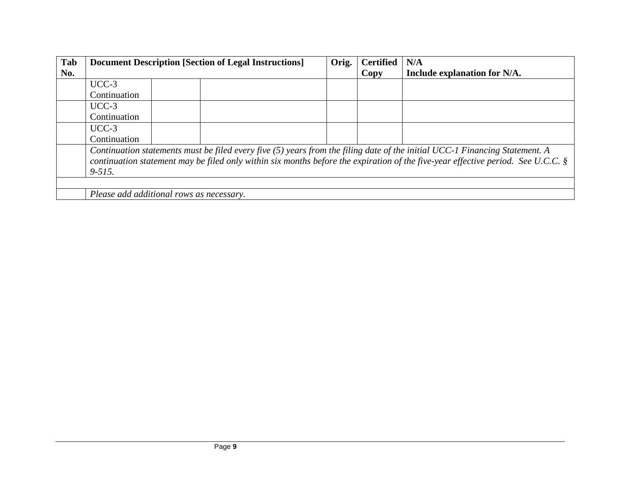| Tab | <b>Document Description [Section of Legal Instructions]</b>                                                                                                                                                                                                                      | Orig. | <b>Certified</b> | N/A                          |  |
|-----|----------------------------------------------------------------------------------------------------------------------------------------------------------------------------------------------------------------------------------------------------------------------------------|-------|------------------|------------------------------|--|
| No. |                                                                                                                                                                                                                                                                                  |       | Copy             | Include explanation for N/A. |  |
|     | $UCC-3$                                                                                                                                                                                                                                                                          |       |                  |                              |  |
|     | Continuation                                                                                                                                                                                                                                                                     |       |                  |                              |  |
|     | $UCC-3$                                                                                                                                                                                                                                                                          |       |                  |                              |  |
|     | Continuation                                                                                                                                                                                                                                                                     |       |                  |                              |  |
|     | $UCC-3$                                                                                                                                                                                                                                                                          |       |                  |                              |  |
|     | Continuation                                                                                                                                                                                                                                                                     |       |                  |                              |  |
|     | Continuation statements must be filed every five (5) years from the filing date of the initial UCC-1 Financing Statement. A<br>continuation statement may be filed only within six months before the expiration of the five-year effective period. See U.C.C. $\S$<br>$9 - 515.$ |       |                  |                              |  |
|     |                                                                                                                                                                                                                                                                                  |       |                  |                              |  |
|     | Please add additional rows as necessary.                                                                                                                                                                                                                                         |       |                  |                              |  |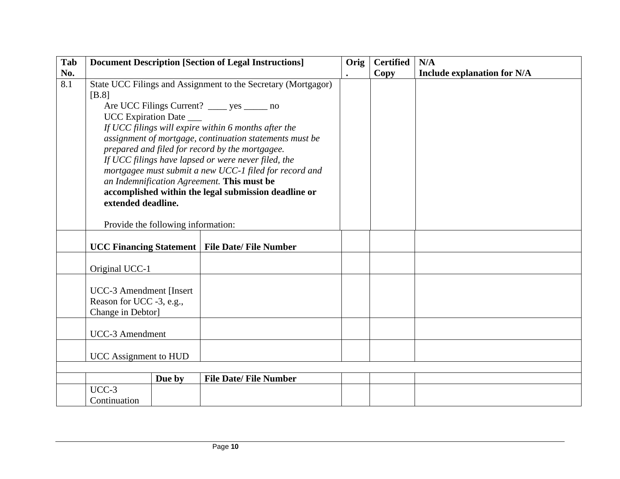| Tab |                                                                                                                                                                                                                                                                                                                                                                                                                                                                                                                                                                                                              |        | <b>Document Description [Section of Legal Instructions]</b> | Orig | <b>Certified</b> | N/A                                |
|-----|--------------------------------------------------------------------------------------------------------------------------------------------------------------------------------------------------------------------------------------------------------------------------------------------------------------------------------------------------------------------------------------------------------------------------------------------------------------------------------------------------------------------------------------------------------------------------------------------------------------|--------|-------------------------------------------------------------|------|------------------|------------------------------------|
| No. |                                                                                                                                                                                                                                                                                                                                                                                                                                                                                                                                                                                                              |        |                                                             |      | <b>Copy</b>      | <b>Include explanation for N/A</b> |
| 8.1 | State UCC Filings and Assignment to the Secretary (Mortgagor)<br>[B.8]<br>Are UCC Filings Current? ______ yes _______ no<br>UCC Expiration Date ___<br>If UCC filings will expire within 6 months after the<br>assignment of mortgage, continuation statements must be<br>prepared and filed for record by the mortgagee.<br>If UCC filings have lapsed or were never filed, the<br>mortgagee must submit a new UCC-1 filed for record and<br>an Indemnification Agreement. This must be<br>accomplished within the legal submission deadline or<br>extended deadline.<br>Provide the following information: |        |                                                             |      |                  |                                    |
|     |                                                                                                                                                                                                                                                                                                                                                                                                                                                                                                                                                                                                              |        | <b>UCC Financing Statement   File Date/ File Number</b>     |      |                  |                                    |
|     | Original UCC-1                                                                                                                                                                                                                                                                                                                                                                                                                                                                                                                                                                                               |        |                                                             |      |                  |                                    |
|     | <b>UCC-3 Amendment [Insert</b> ]<br>Reason for UCC -3, e.g.,<br>Change in Debtor]                                                                                                                                                                                                                                                                                                                                                                                                                                                                                                                            |        |                                                             |      |                  |                                    |
|     | <b>UCC-3</b> Amendment                                                                                                                                                                                                                                                                                                                                                                                                                                                                                                                                                                                       |        |                                                             |      |                  |                                    |
|     | <b>UCC</b> Assignment to HUD                                                                                                                                                                                                                                                                                                                                                                                                                                                                                                                                                                                 |        |                                                             |      |                  |                                    |
|     |                                                                                                                                                                                                                                                                                                                                                                                                                                                                                                                                                                                                              | Due by | <b>File Date/ File Number</b>                               |      |                  |                                    |
|     | $UCC-3$                                                                                                                                                                                                                                                                                                                                                                                                                                                                                                                                                                                                      |        |                                                             |      |                  |                                    |
|     | Continuation                                                                                                                                                                                                                                                                                                                                                                                                                                                                                                                                                                                                 |        |                                                             |      |                  |                                    |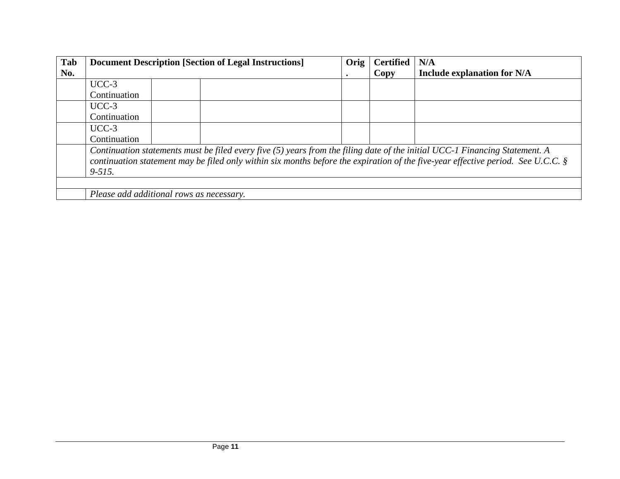| Tab | <b>Document Description [Section of Legal Instructions]</b>                                                                                                                                                                                                                      | Orig | <b>Certified</b> | N/A                                |  |
|-----|----------------------------------------------------------------------------------------------------------------------------------------------------------------------------------------------------------------------------------------------------------------------------------|------|------------------|------------------------------------|--|
| No. |                                                                                                                                                                                                                                                                                  |      | Copy             | <b>Include explanation for N/A</b> |  |
|     | $UCC-3$                                                                                                                                                                                                                                                                          |      |                  |                                    |  |
|     | Continuation                                                                                                                                                                                                                                                                     |      |                  |                                    |  |
|     | $UCC-3$                                                                                                                                                                                                                                                                          |      |                  |                                    |  |
|     | Continuation                                                                                                                                                                                                                                                                     |      |                  |                                    |  |
|     | $UCC-3$                                                                                                                                                                                                                                                                          |      |                  |                                    |  |
|     | Continuation                                                                                                                                                                                                                                                                     |      |                  |                                    |  |
|     | Continuation statements must be filed every five (5) years from the filing date of the initial UCC-1 Financing Statement. A<br>continuation statement may be filed only within six months before the expiration of the five-year effective period. See U.C.C. $\S$<br>$9 - 515.$ |      |                  |                                    |  |
|     |                                                                                                                                                                                                                                                                                  |      |                  |                                    |  |
|     | Please add additional rows as necessary.                                                                                                                                                                                                                                         |      |                  |                                    |  |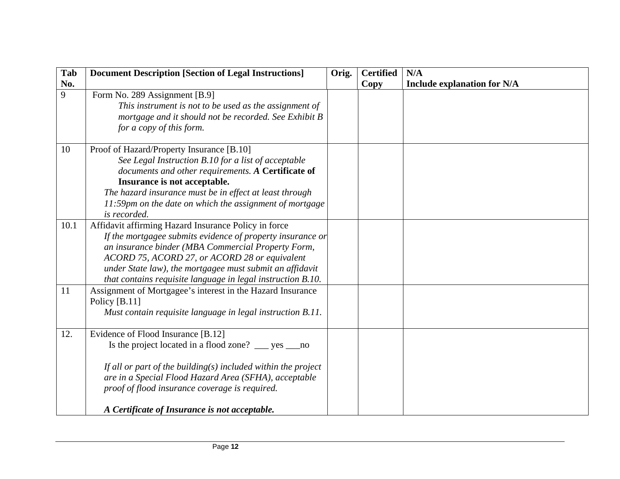| Tab            | <b>Document Description [Section of Legal Instructions]</b>                                                                                                                                                                                                                                                                                          | Orig. | <b>Certified</b> | N/A                                |
|----------------|------------------------------------------------------------------------------------------------------------------------------------------------------------------------------------------------------------------------------------------------------------------------------------------------------------------------------------------------------|-------|------------------|------------------------------------|
| No.            |                                                                                                                                                                                                                                                                                                                                                      |       | Copy             | <b>Include explanation for N/A</b> |
| $\overline{9}$ | Form No. 289 Assignment [B.9]<br>This instrument is not to be used as the assignment of<br>mortgage and it should not be recorded. See Exhibit B<br>for a copy of this form.                                                                                                                                                                         |       |                  |                                    |
| 10             | Proof of Hazard/Property Insurance [B.10]<br>See Legal Instruction B.10 for a list of acceptable<br>documents and other requirements. A Certificate of<br>Insurance is not acceptable.<br>The hazard insurance must be in effect at least through<br>11:59pm on the date on which the assignment of mortgage<br>is recorded.                         |       |                  |                                    |
| 10.1           | Affidavit affirming Hazard Insurance Policy in force<br>If the mortgagee submits evidence of property insurance or<br>an insurance binder (MBA Commercial Property Form,<br>ACORD 75, ACORD 27, or ACORD 28 or equivalent<br>under State law), the mortgagee must submit an affidavit<br>that contains requisite language in legal instruction B.10. |       |                  |                                    |
| 11             | Assignment of Mortgagee's interest in the Hazard Insurance<br>Policy $[B.11]$<br>Must contain requisite language in legal instruction B.11.                                                                                                                                                                                                          |       |                  |                                    |
| 12.            | Evidence of Flood Insurance [B.12]<br>Is the project located in a flood zone? ___ yes ___ no<br>If all or part of the building( $s$ ) included within the project<br>are in a Special Flood Hazard Area (SFHA), acceptable<br>proof of flood insurance coverage is required.<br>A Certificate of Insurance is not acceptable.                        |       |                  |                                    |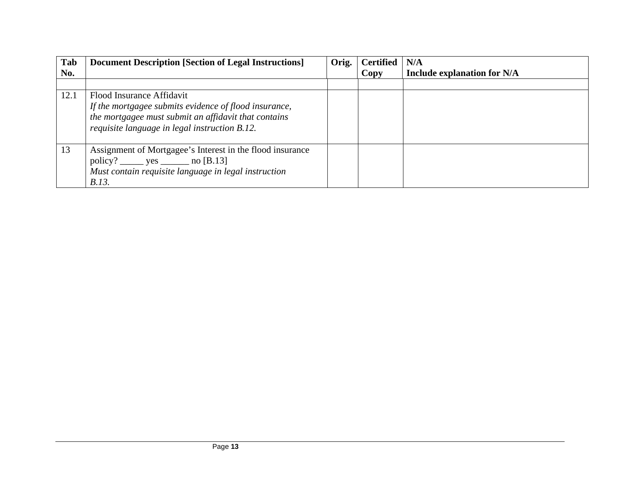| Tab  | <b>Document Description [Section of Legal Instructions]</b>                                                                                                                                 | Orig. | <b>Certified</b> | N/A                                |
|------|---------------------------------------------------------------------------------------------------------------------------------------------------------------------------------------------|-------|------------------|------------------------------------|
| No.  |                                                                                                                                                                                             |       | Copy             | <b>Include explanation for N/A</b> |
|      |                                                                                                                                                                                             |       |                  |                                    |
| 12.1 | Flood Insurance Affidavit<br>If the mortgagee submits evidence of flood insurance,<br>the mortgagee must submit an affidavit that contains<br>requisite language in legal instruction B.12. |       |                  |                                    |
| 13   | Assignment of Mortgagee's Interest in the flood insurance<br>$\text{policy?}$ _______ yes _________ no [B.13]<br>Must contain requisite language in legal instruction<br>B.13.              |       |                  |                                    |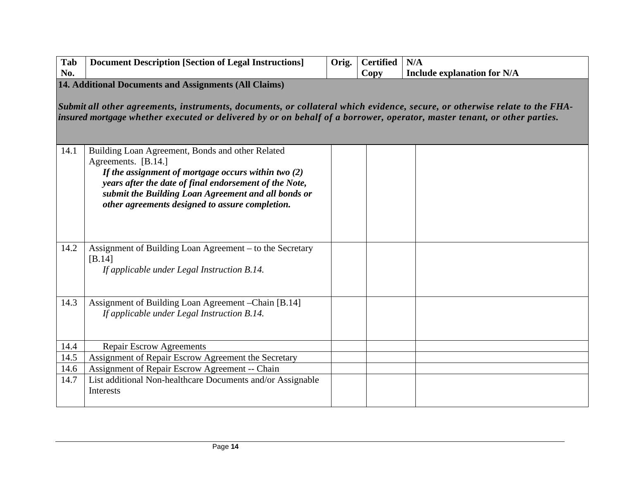| Tab | Document Description [Section of Legal Instructions] | Orig. | <b>Certified</b> | N/A                                |
|-----|------------------------------------------------------|-------|------------------|------------------------------------|
| No. |                                                      |       | $\log$           | <b>Include explanation for N/A</b> |

**14. Additional Documents and Assignments (All Claims)** 

*Submit all other agreements, instruments, documents, or collateral which evidence, secure, or otherwise relate to the FHAinsured mortgage whether executed or delivered by or on behalf of a borrower, operator, master tenant, or other parties.* 

| 14.1 | Building Loan Agreement, Bonds and other Related<br>Agreements. [B.14.]<br>If the assignment of mortgage occurs within two $(2)$<br>years after the date of final endorsement of the Note,<br>submit the Building Loan Agreement and all bonds or<br>other agreements designed to assure completion. |  |  |
|------|------------------------------------------------------------------------------------------------------------------------------------------------------------------------------------------------------------------------------------------------------------------------------------------------------|--|--|
| 14.2 | Assignment of Building Loan Agreement – to the Secretary<br>[B.14]<br>If applicable under Legal Instruction B.14.                                                                                                                                                                                    |  |  |
| 14.3 | Assignment of Building Loan Agreement – Chain [B.14]<br>If applicable under Legal Instruction B.14.                                                                                                                                                                                                  |  |  |
| 14.4 | <b>Repair Escrow Agreements</b>                                                                                                                                                                                                                                                                      |  |  |
| 14.5 | Assignment of Repair Escrow Agreement the Secretary                                                                                                                                                                                                                                                  |  |  |
| 14.6 | Assignment of Repair Escrow Agreement -- Chain                                                                                                                                                                                                                                                       |  |  |
| 14.7 | List additional Non-healthcare Documents and/or Assignable<br>Interests                                                                                                                                                                                                                              |  |  |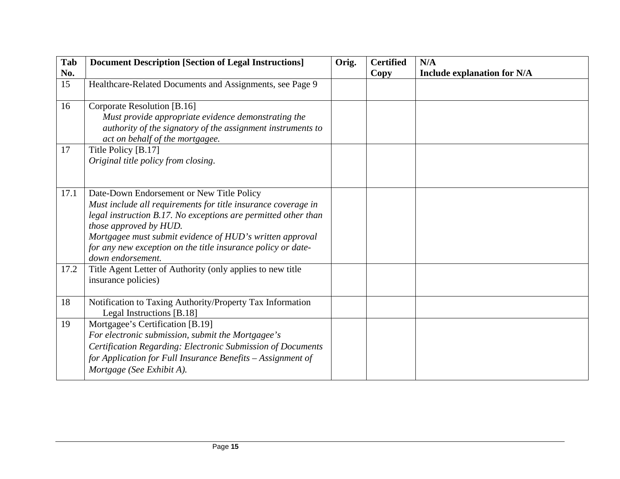| Tab  | <b>Document Description [Section of Legal Instructions]</b>                                                                                                                                                                                                                                                                                             | Orig. | <b>Certified</b> | N/A                                |
|------|---------------------------------------------------------------------------------------------------------------------------------------------------------------------------------------------------------------------------------------------------------------------------------------------------------------------------------------------------------|-------|------------------|------------------------------------|
| No.  |                                                                                                                                                                                                                                                                                                                                                         |       | Copy             | <b>Include explanation for N/A</b> |
| 15   | Healthcare-Related Documents and Assignments, see Page 9                                                                                                                                                                                                                                                                                                |       |                  |                                    |
| 16   | Corporate Resolution [B.16]<br>Must provide appropriate evidence demonstrating the<br>authority of the signatory of the assignment instruments to<br>act on behalf of the mortgagee.                                                                                                                                                                    |       |                  |                                    |
| 17   | Title Policy [B.17]<br>Original title policy from closing.                                                                                                                                                                                                                                                                                              |       |                  |                                    |
| 17.1 | Date-Down Endorsement or New Title Policy<br>Must include all requirements for title insurance coverage in<br>legal instruction B.17. No exceptions are permitted other than<br>those approved by HUD.<br>Mortgagee must submit evidence of HUD's written approval<br>for any new exception on the title insurance policy or date-<br>down endorsement. |       |                  |                                    |
| 17.2 | Title Agent Letter of Authority (only applies to new title<br>insurance policies)                                                                                                                                                                                                                                                                       |       |                  |                                    |
| 18   | Notification to Taxing Authority/Property Tax Information<br>Legal Instructions [B.18]                                                                                                                                                                                                                                                                  |       |                  |                                    |
| 19   | Mortgagee's Certification [B.19]<br>For electronic submission, submit the Mortgagee's<br>Certification Regarding: Electronic Submission of Documents<br>for Application for Full Insurance Benefits – Assignment of<br>Mortgage (See Exhibit A).                                                                                                        |       |                  |                                    |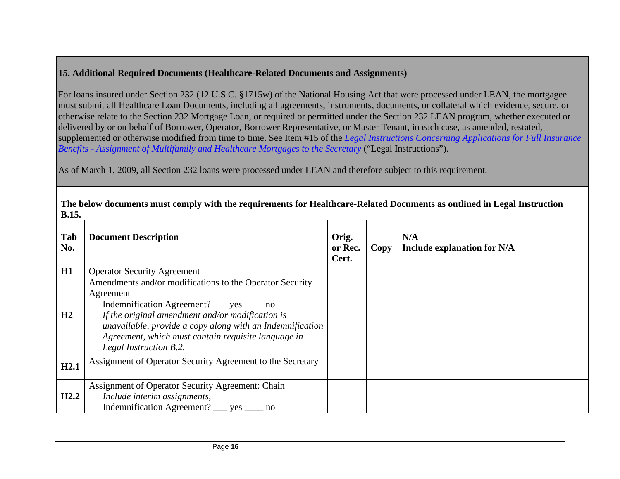## **15. Additional Required Documents (Healthcare-Related Documents and Assignments)**

For loans insured under Section 232 (12 U.S.C. §1715w) of the National Housing Act that were processed under LEAN, the mortgagee must submit all Healthcare Loan Documents, including all agreements, instruments, documents, or collateral which evidence, secure, or otherwise relate to the Section 232 Mortgage Loan, or required or permitted under the Section 232 LEAN program, whether executed or delivered by or on behalf of Borrower, Operator, Borrower Representative, or Master Tenant, in each case, as amended, restated, supplemented or otherwise modified from time to time. See Item #15 of the *Legal Instructions Concerning Applications for Full Insurance Benefits - Assignment of Multifamily and Healthcare Mortgages to the Secretary* ("Legal Instructions").

As of March 1, 2009, all Section 232 loans were processed under LEAN and therefore subject to this requirement.

| Tab<br>No. | <b>Document Description</b>                                                                                                                                                                                                                                                                                             | Orig.<br>or Rec.<br>Cert. | Copy | N/A<br><b>Include explanation for N/A</b> |
|------------|-------------------------------------------------------------------------------------------------------------------------------------------------------------------------------------------------------------------------------------------------------------------------------------------------------------------------|---------------------------|------|-------------------------------------------|
| H1         | <b>Operator Security Agreement</b>                                                                                                                                                                                                                                                                                      |                           |      |                                           |
| H2         | Amendments and/or modifications to the Operator Security<br>Agreement<br>Indemnification Agreement? ____ yes _____ no<br>If the original amendment and/or modification is<br>unavailable, provide a copy along with an Indemnification<br>Agreement, which must contain requisite language in<br>Legal Instruction B.2. |                           |      |                                           |
| H2.1       | Assignment of Operator Security Agreement to the Secretary                                                                                                                                                                                                                                                              |                           |      |                                           |
| H2.2       | Assignment of Operator Security Agreement: Chain<br>Include interim assignments,<br>Indemnification Agreement? ____ yes<br>no                                                                                                                                                                                           |                           |      |                                           |

**The below documents must comply with the requirements for Healthcare-Related Documents as outlined in Legal Instruction B.15.**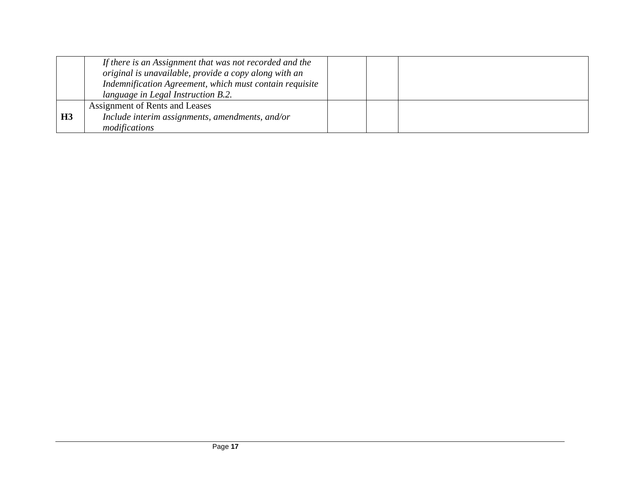|           | If there is an Assignment that was not recorded and the<br>original is unavailable, provide a copy along with an<br>Indemnification Agreement, which must contain requisite<br>language in Legal Instruction B.2. |  |  |
|-----------|-------------------------------------------------------------------------------------------------------------------------------------------------------------------------------------------------------------------|--|--|
| <b>H3</b> | Assignment of Rents and Leases<br>Include interim assignments, amendments, and/or<br>modifications                                                                                                                |  |  |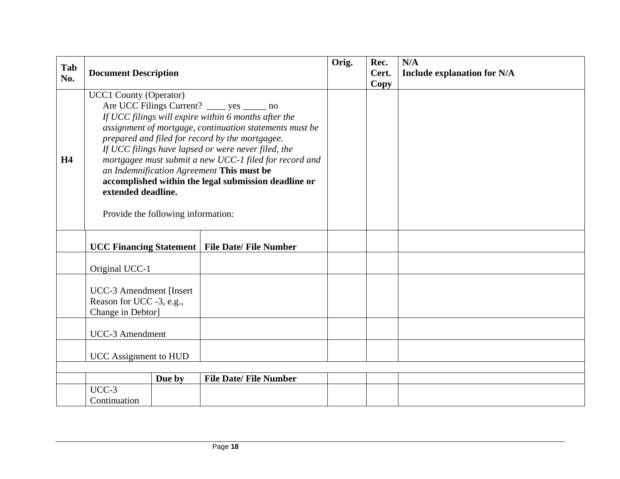| Tab<br>No. | <b>Document Description</b>                                                                                                                                                                                                                                                                                                                                                                                                                                                                                                           |        |                               | Orig. | Rec.<br>Cert.<br>Copy | N/A<br><b>Include explanation for N/A</b> |
|------------|---------------------------------------------------------------------------------------------------------------------------------------------------------------------------------------------------------------------------------------------------------------------------------------------------------------------------------------------------------------------------------------------------------------------------------------------------------------------------------------------------------------------------------------|--------|-------------------------------|-------|-----------------------|-------------------------------------------|
| <b>H4</b>  | <b>UCC1 County (Operator)</b><br>Are UCC Filings Current? _____ yes ______ no<br>If UCC filings will expire within 6 months after the<br>assignment of mortgage, continuation statements must be<br>prepared and filed for record by the mortgagee.<br>If UCC filings have lapsed or were never filed, the<br>mortgagee must submit a new UCC-1 filed for record and<br>an Indemnification Agreement This must be<br>accomplished within the legal submission deadline or<br>extended deadline.<br>Provide the following information: |        |                               |       |                       |                                           |
|            | <b>UCC Financing Statement</b>                                                                                                                                                                                                                                                                                                                                                                                                                                                                                                        |        | <b>File Date/ File Number</b> |       |                       |                                           |
|            | Original UCC-1                                                                                                                                                                                                                                                                                                                                                                                                                                                                                                                        |        |                               |       |                       |                                           |
|            | <b>UCC-3</b> Amendment [Insert]<br>Reason for UCC -3, e.g.,<br>Change in Debtor]                                                                                                                                                                                                                                                                                                                                                                                                                                                      |        |                               |       |                       |                                           |
|            | <b>UCC-3</b> Amendment                                                                                                                                                                                                                                                                                                                                                                                                                                                                                                                |        |                               |       |                       |                                           |
|            | <b>UCC</b> Assignment to HUD                                                                                                                                                                                                                                                                                                                                                                                                                                                                                                          |        |                               |       |                       |                                           |
|            |                                                                                                                                                                                                                                                                                                                                                                                                                                                                                                                                       |        |                               |       |                       |                                           |
|            |                                                                                                                                                                                                                                                                                                                                                                                                                                                                                                                                       | Due by | <b>File Date/ File Number</b> |       |                       |                                           |
|            | $UCC-3$<br>Continuation                                                                                                                                                                                                                                                                                                                                                                                                                                                                                                               |        |                               |       |                       |                                           |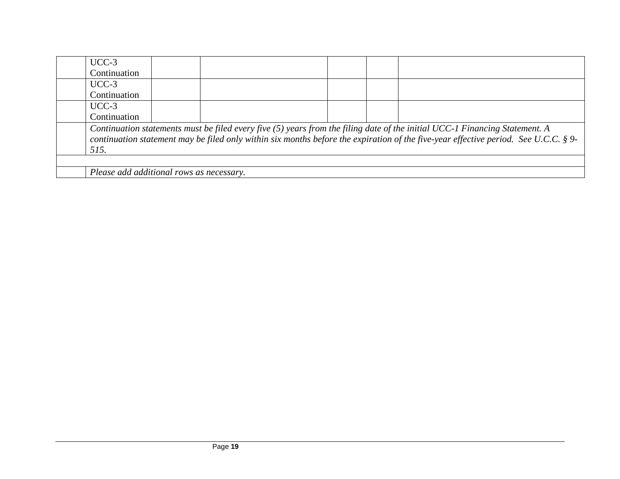| $UCC-3$                                                                                                                                                                                                                                                            |  |  |  |  |  |
|--------------------------------------------------------------------------------------------------------------------------------------------------------------------------------------------------------------------------------------------------------------------|--|--|--|--|--|
| Continuation                                                                                                                                                                                                                                                       |  |  |  |  |  |
| $UCC-3$                                                                                                                                                                                                                                                            |  |  |  |  |  |
| Continuation                                                                                                                                                                                                                                                       |  |  |  |  |  |
| $UCC-3$                                                                                                                                                                                                                                                            |  |  |  |  |  |
| Continuation                                                                                                                                                                                                                                                       |  |  |  |  |  |
| Continuation statements must be filed every five (5) years from the filing date of the initial UCC-1 Financing Statement. A<br>continuation statement may be filed only within six months before the expiration of the five-year effective period. See U.C.C. § 9- |  |  |  |  |  |
| 515.                                                                                                                                                                                                                                                               |  |  |  |  |  |
|                                                                                                                                                                                                                                                                    |  |  |  |  |  |
| Please add additional rows as necessary.                                                                                                                                                                                                                           |  |  |  |  |  |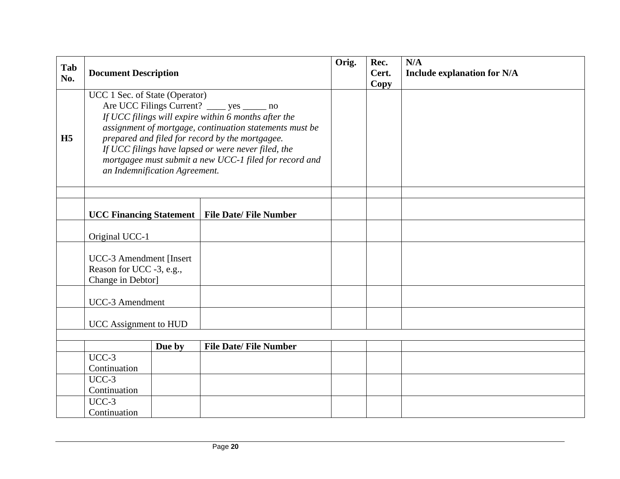|                |                                                                                                                                                                                                                                                                                                                                                                                                        |        |                               | Orig. | Rec.  | N/A                                |
|----------------|--------------------------------------------------------------------------------------------------------------------------------------------------------------------------------------------------------------------------------------------------------------------------------------------------------------------------------------------------------------------------------------------------------|--------|-------------------------------|-------|-------|------------------------------------|
| Tab<br>No.     | <b>Document Description</b>                                                                                                                                                                                                                                                                                                                                                                            |        |                               |       | Cert. | <b>Include explanation for N/A</b> |
|                |                                                                                                                                                                                                                                                                                                                                                                                                        |        |                               |       | Copy  |                                    |
| H <sub>5</sub> | UCC 1 Sec. of State (Operator)<br>Are UCC Filings Current? _____ yes ______ no<br>If UCC filings will expire within 6 months after the<br>assignment of mortgage, continuation statements must be<br>prepared and filed for record by the mortgagee.<br>If UCC filings have lapsed or were never filed, the<br>mortgagee must submit a new UCC-1 filed for record and<br>an Indemnification Agreement. |        |                               |       |       |                                    |
|                |                                                                                                                                                                                                                                                                                                                                                                                                        |        |                               |       |       |                                    |
|                | <b>UCC Financing Statement</b>                                                                                                                                                                                                                                                                                                                                                                         |        | <b>File Date/ File Number</b> |       |       |                                    |
|                | Original UCC-1                                                                                                                                                                                                                                                                                                                                                                                         |        |                               |       |       |                                    |
|                | <b>UCC-3 Amendment [Insert</b><br>Reason for UCC -3, e.g.,<br>Change in Debtor]                                                                                                                                                                                                                                                                                                                        |        |                               |       |       |                                    |
|                | UCC-3 Amendment                                                                                                                                                                                                                                                                                                                                                                                        |        |                               |       |       |                                    |
|                | <b>UCC</b> Assignment to HUD                                                                                                                                                                                                                                                                                                                                                                           |        |                               |       |       |                                    |
|                |                                                                                                                                                                                                                                                                                                                                                                                                        |        |                               |       |       |                                    |
|                |                                                                                                                                                                                                                                                                                                                                                                                                        | Due by | <b>File Date/ File Number</b> |       |       |                                    |
|                | $UCC-3$                                                                                                                                                                                                                                                                                                                                                                                                |        |                               |       |       |                                    |
|                | Continuation                                                                                                                                                                                                                                                                                                                                                                                           |        |                               |       |       |                                    |
|                | $UCC-3$                                                                                                                                                                                                                                                                                                                                                                                                |        |                               |       |       |                                    |
|                | Continuation                                                                                                                                                                                                                                                                                                                                                                                           |        |                               |       |       |                                    |
|                | $UCC-3$<br>Continuation                                                                                                                                                                                                                                                                                                                                                                                |        |                               |       |       |                                    |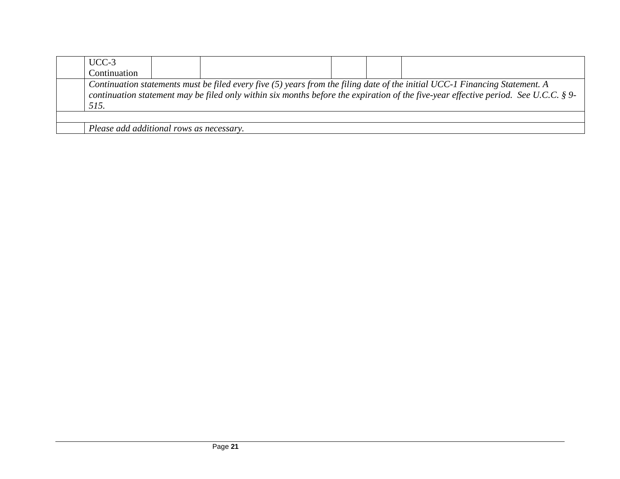| $UCC-3$                                                                                                                                                                                                                                                                      |  |  |  |  |  |
|------------------------------------------------------------------------------------------------------------------------------------------------------------------------------------------------------------------------------------------------------------------------------|--|--|--|--|--|
| Continuation                                                                                                                                                                                                                                                                 |  |  |  |  |  |
| Continuation statements must be filed every five $(5)$ years from the filing date of the initial UCC-1 Financing Statement. A<br>continuation statement may be filed only within six months before the expiration of the five-year effective period. See U.C.C. § 9-<br>515. |  |  |  |  |  |
|                                                                                                                                                                                                                                                                              |  |  |  |  |  |
| Please add additional rows as necessary.                                                                                                                                                                                                                                     |  |  |  |  |  |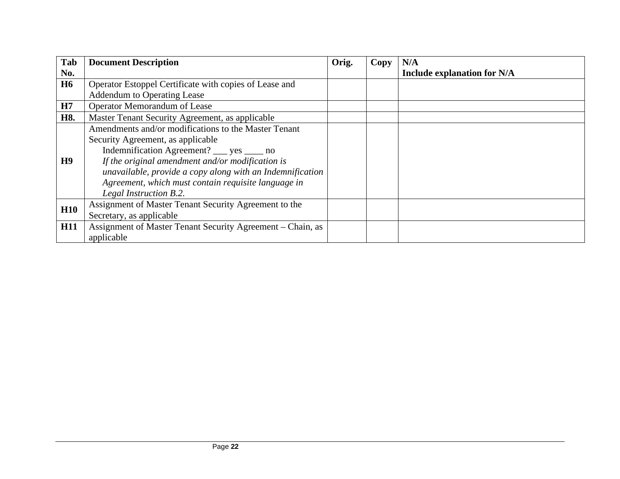| Tab            | <b>Document Description</b>                                | Orig. | Copy | N/A                                |
|----------------|------------------------------------------------------------|-------|------|------------------------------------|
| No.            |                                                            |       |      | <b>Include explanation for N/A</b> |
| <b>H6</b>      | Operator Estoppel Certificate with copies of Lease and     |       |      |                                    |
|                | <b>Addendum to Operating Lease</b>                         |       |      |                                    |
| H7             | <b>Operator Memorandum of Lease</b>                        |       |      |                                    |
| H8.            | Master Tenant Security Agreement, as applicable            |       |      |                                    |
|                | Amendments and/or modifications to the Master Tenant       |       |      |                                    |
|                | Security Agreement, as applicable                          |       |      |                                    |
|                | Indemnification Agreement? ___ yes ____ no                 |       |      |                                    |
| H <sub>9</sub> | If the original amendment and/or modification is           |       |      |                                    |
|                | unavailable, provide a copy along with an Indemnification  |       |      |                                    |
|                | Agreement, which must contain requisite language in        |       |      |                                    |
|                | Legal Instruction B.2.                                     |       |      |                                    |
| H10            | Assignment of Master Tenant Security Agreement to the      |       |      |                                    |
|                | Secretary, as applicable                                   |       |      |                                    |
| <b>H11</b>     | Assignment of Master Tenant Security Agreement – Chain, as |       |      |                                    |
|                | applicable                                                 |       |      |                                    |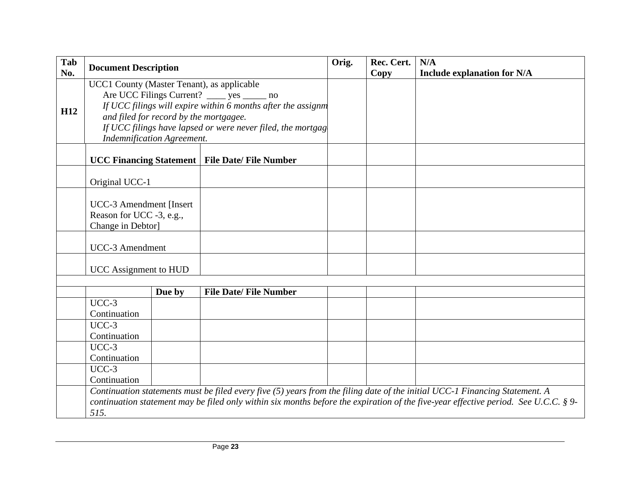| Tab             | <b>Document Description</b>                                     |                                        |                                                              | Orig. | Rec. Cert. | N/A                                                                                                                                 |  |  |  |
|-----------------|-----------------------------------------------------------------|----------------------------------------|--------------------------------------------------------------|-------|------------|-------------------------------------------------------------------------------------------------------------------------------------|--|--|--|
| No.             |                                                                 |                                        |                                                              |       | Copy       | <b>Include explanation for N/A</b>                                                                                                  |  |  |  |
|                 | UCC1 County (Master Tenant), as applicable                      |                                        |                                                              |       |            |                                                                                                                                     |  |  |  |
|                 | Are UCC Filings Current? _____ yes ______ no                    |                                        |                                                              |       |            |                                                                                                                                     |  |  |  |
| H <sub>12</sub> |                                                                 |                                        | If UCC filings will expire within 6 months after the assignm |       |            |                                                                                                                                     |  |  |  |
|                 |                                                                 | and filed for record by the mortgagee. |                                                              |       |            |                                                                                                                                     |  |  |  |
|                 |                                                                 |                                        | If UCC filings have lapsed or were never filed, the mortgag  |       |            |                                                                                                                                     |  |  |  |
|                 |                                                                 | <b>Indemnification Agreement.</b>      |                                                              |       |            |                                                                                                                                     |  |  |  |
|                 | <b>UCC Financing Statement</b><br><b>File Date/ File Number</b> |                                        |                                                              |       |            |                                                                                                                                     |  |  |  |
|                 | Original UCC-1                                                  |                                        |                                                              |       |            |                                                                                                                                     |  |  |  |
|                 |                                                                 |                                        |                                                              |       |            |                                                                                                                                     |  |  |  |
|                 | <b>UCC-3</b> Amendment [Insert]                                 |                                        |                                                              |       |            |                                                                                                                                     |  |  |  |
|                 | Reason for UCC -3, e.g.,                                        |                                        |                                                              |       |            |                                                                                                                                     |  |  |  |
|                 | Change in Debtor]                                               |                                        |                                                              |       |            |                                                                                                                                     |  |  |  |
|                 |                                                                 |                                        |                                                              |       |            |                                                                                                                                     |  |  |  |
|                 | <b>UCC-3</b> Amendment                                          |                                        |                                                              |       |            |                                                                                                                                     |  |  |  |
|                 | <b>UCC</b> Assignment to HUD                                    |                                        |                                                              |       |            |                                                                                                                                     |  |  |  |
|                 |                                                                 |                                        |                                                              |       |            |                                                                                                                                     |  |  |  |
|                 |                                                                 | Due by                                 | <b>File Date/File Number</b>                                 |       |            |                                                                                                                                     |  |  |  |
|                 | $UCC-3$                                                         |                                        |                                                              |       |            |                                                                                                                                     |  |  |  |
|                 | Continuation                                                    |                                        |                                                              |       |            |                                                                                                                                     |  |  |  |
|                 | $UCC-3$                                                         |                                        |                                                              |       |            |                                                                                                                                     |  |  |  |
|                 | Continuation                                                    |                                        |                                                              |       |            |                                                                                                                                     |  |  |  |
|                 | UCC-3                                                           |                                        |                                                              |       |            |                                                                                                                                     |  |  |  |
|                 | Continuation                                                    |                                        |                                                              |       |            |                                                                                                                                     |  |  |  |
|                 | $UCC-3$                                                         |                                        |                                                              |       |            |                                                                                                                                     |  |  |  |
|                 | Continuation                                                    |                                        |                                                              |       |            |                                                                                                                                     |  |  |  |
|                 |                                                                 |                                        |                                                              |       |            | Continuation statements must be filed every five (5) years from the filing date of the initial UCC-1 Financing Statement. A         |  |  |  |
|                 |                                                                 |                                        |                                                              |       |            | continuation statement may be filed only within six months before the expiration of the five-year effective period. See U.C.C. § 9- |  |  |  |
|                 |                                                                 |                                        | 515.                                                         |       |            |                                                                                                                                     |  |  |  |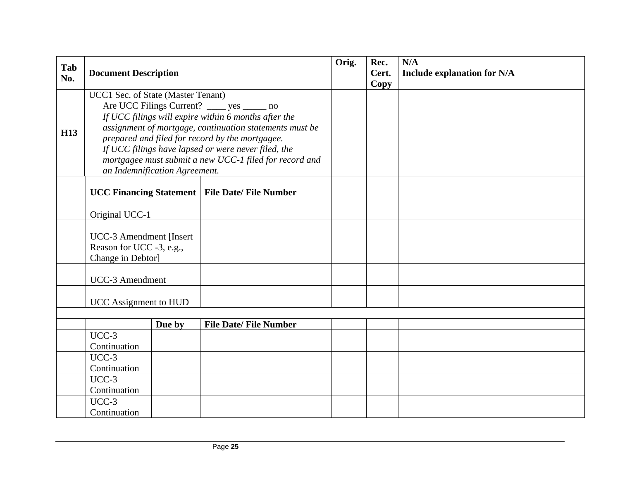| Tab        | <b>Document Description</b>                                                       |                               |                                                                                                                                                                                                                                                                                                                                     | Orig. | Rec.<br>Cert. | N/A<br><b>Include explanation for N/A</b> |
|------------|-----------------------------------------------------------------------------------|-------------------------------|-------------------------------------------------------------------------------------------------------------------------------------------------------------------------------------------------------------------------------------------------------------------------------------------------------------------------------------|-------|---------------|-------------------------------------------|
| No.        |                                                                                   |                               |                                                                                                                                                                                                                                                                                                                                     |       | Copy          |                                           |
| <b>H13</b> | UCC1 Sec. of State (Master Tenant)                                                | an Indemnification Agreement. | Are UCC Filings Current? _____ yes ______ no<br>If UCC filings will expire within 6 months after the<br>assignment of mortgage, continuation statements must be<br>prepared and filed for record by the mortgagee.<br>If UCC filings have lapsed or were never filed, the<br>mortgagee must submit a new UCC-1 filed for record and |       |               |                                           |
|            | <b>UCC Financing Statement</b>                                                    |                               | <b>File Date/File Number</b>                                                                                                                                                                                                                                                                                                        |       |               |                                           |
|            | Original UCC-1                                                                    |                               |                                                                                                                                                                                                                                                                                                                                     |       |               |                                           |
|            | <b>UCC-3 Amendment [Insert</b> ]<br>Reason for UCC -3, e.g.,<br>Change in Debtor] |                               |                                                                                                                                                                                                                                                                                                                                     |       |               |                                           |
|            | <b>UCC-3</b> Amendment                                                            |                               |                                                                                                                                                                                                                                                                                                                                     |       |               |                                           |
|            | <b>UCC</b> Assignment to HUD                                                      |                               |                                                                                                                                                                                                                                                                                                                                     |       |               |                                           |
|            |                                                                                   |                               |                                                                                                                                                                                                                                                                                                                                     |       |               |                                           |
|            | $UCC-3$                                                                           | Due by                        | <b>File Date/ File Number</b>                                                                                                                                                                                                                                                                                                       |       |               |                                           |
|            | Continuation                                                                      |                               |                                                                                                                                                                                                                                                                                                                                     |       |               |                                           |
|            | $UCC-3$                                                                           |                               |                                                                                                                                                                                                                                                                                                                                     |       |               |                                           |
|            | Continuation                                                                      |                               |                                                                                                                                                                                                                                                                                                                                     |       |               |                                           |
|            | $UCC-3$<br>Continuation                                                           |                               |                                                                                                                                                                                                                                                                                                                                     |       |               |                                           |
|            | $UCC-3$                                                                           |                               |                                                                                                                                                                                                                                                                                                                                     |       |               |                                           |
|            | Continuation                                                                      |                               |                                                                                                                                                                                                                                                                                                                                     |       |               |                                           |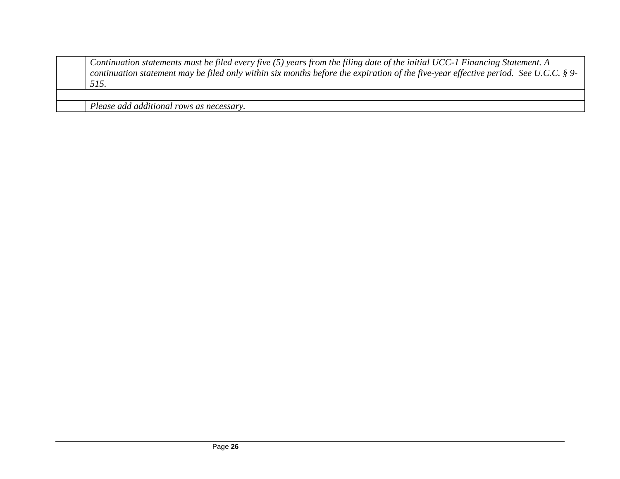| Continuation statements must be filed every five $(5)$ years from the filing date of the initial UCC-1 Financing Statement. A       |
|-------------------------------------------------------------------------------------------------------------------------------------|
| continuation statement may be filed only within six months before the expiration of the five-year effective period. See U.C.C. § 9- |
| 515.                                                                                                                                |
|                                                                                                                                     |

*Please add additional rows as necessary.*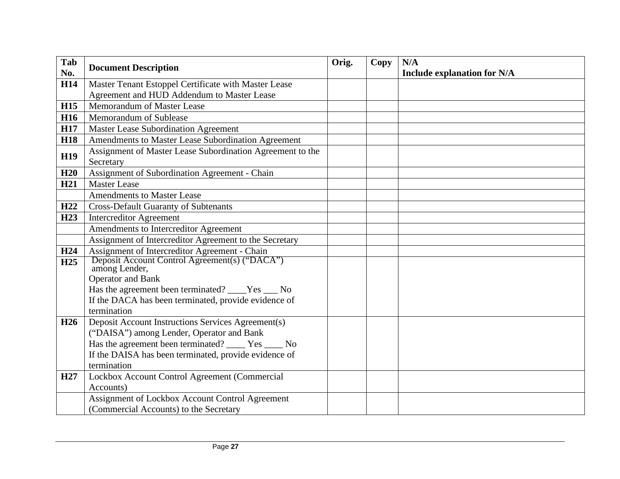| Tab<br>No.      | <b>Document Description</b>                                    | Orig. | <b>Copy</b> | N/A                                |
|-----------------|----------------------------------------------------------------|-------|-------------|------------------------------------|
| <b>H14</b>      | Master Tenant Estoppel Certificate with Master Lease           |       |             | <b>Include explanation for N/A</b> |
|                 | Agreement and HUD Addendum to Master Lease                     |       |             |                                    |
| <b>H15</b>      | Memorandum of Master Lease                                     |       |             |                                    |
| <b>H16</b>      | Memorandum of Sublease                                         |       |             |                                    |
| <b>H17</b>      | <b>Master Lease Subordination Agreement</b>                    |       |             |                                    |
| <b>H18</b>      | Amendments to Master Lease Subordination Agreement             |       |             |                                    |
|                 | Assignment of Master Lease Subordination Agreement to the      |       |             |                                    |
| <b>H19</b>      | Secretary                                                      |       |             |                                    |
| H20             | Assignment of Subordination Agreement - Chain                  |       |             |                                    |
| H <sub>21</sub> | <b>Master Lease</b>                                            |       |             |                                    |
|                 | <b>Amendments to Master Lease</b>                              |       |             |                                    |
| H22             | <b>Cross-Default Guaranty of Subtenants</b>                    |       |             |                                    |
| H23             | <b>Intercreditor Agreement</b>                                 |       |             |                                    |
|                 | Amendments to Intercreditor Agreement                          |       |             |                                    |
|                 | Assignment of Intercreditor Agreement to the Secretary         |       |             |                                    |
| H <sub>24</sub> | Assignment of Intercreditor Agreement - Chain                  |       |             |                                    |
| H25             | Deposit Account Control Agreement(s) ("DACA")<br>among Lender, |       |             |                                    |
|                 | Operator and Bank                                              |       |             |                                    |
|                 | Has the agreement been terminated? ____Yes ___ No              |       |             |                                    |
|                 | If the DACA has been terminated, provide evidence of           |       |             |                                    |
|                 | termination                                                    |       |             |                                    |
| H <sub>26</sub> | Deposit Account Instructions Services Agreement(s)             |       |             |                                    |
|                 | ("DAISA") among Lender, Operator and Bank                      |       |             |                                    |
|                 | Has the agreement been terminated? _____ Yes _____ No          |       |             |                                    |
|                 | If the DAISA has been terminated, provide evidence of          |       |             |                                    |
|                 | termination                                                    |       |             |                                    |
| H <sub>27</sub> | Lockbox Account Control Agreement (Commercial                  |       |             |                                    |
|                 | Accounts)                                                      |       |             |                                    |
|                 | Assignment of Lockbox Account Control Agreement                |       |             |                                    |
|                 | (Commercial Accounts) to the Secretary                         |       |             |                                    |